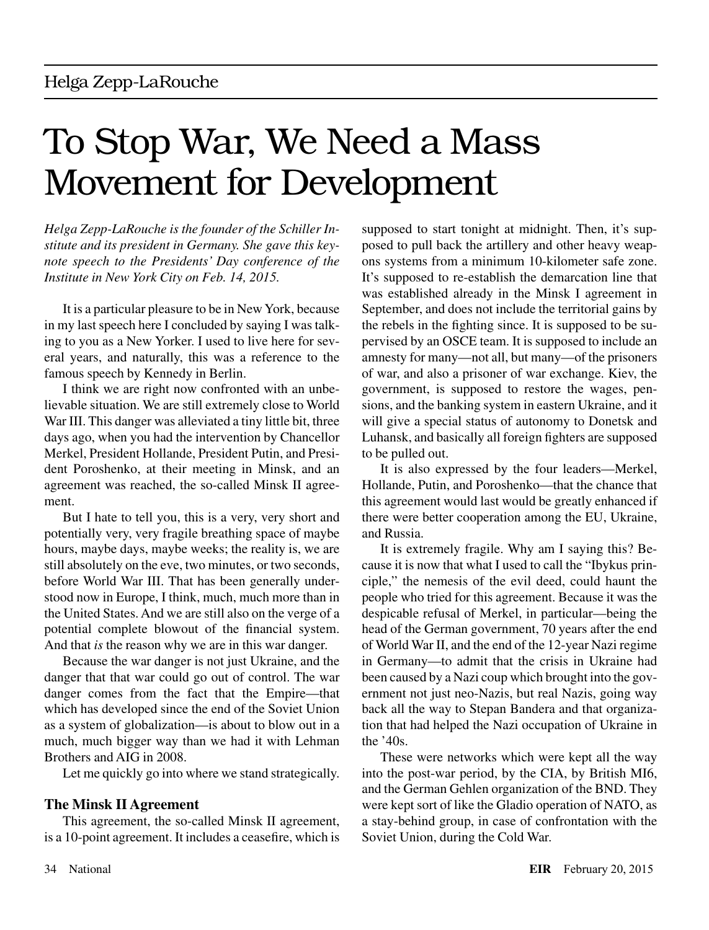# To Stop War, We Need a Mass Movement for Development

*Helga Zepp-LaRouche is the founder of the Schiller Institute and its president in Germany. She gave this keynote speech to the Presidents' Day conference of the Institute in New York City on Feb. 14, 2015.*

It is a particular pleasure to be in New York, because in my last speech here I concluded by saying I was talking to you as a New Yorker. I used to live here for several years, and naturally, this was a reference to the famous speech by Kennedy in Berlin.

I think we are right now confronted with an unbelievable situation. We are still extremely close to World War III. This danger was alleviated a tiny little bit, three days ago, when you had the intervention by Chancellor Merkel, President Hollande, President Putin, and President Poroshenko, at their meeting in Minsk, and an agreement was reached, the so-called Minsk II agreement.

But I hate to tell you, this is a very, very short and potentially very, very fragile breathing space of maybe hours, maybe days, maybe weeks; the reality is, we are still absolutely on the eve, two minutes, or two seconds, before World War III. That has been generally understood now in Europe, I think, much, much more than in the United States. And we are still also on the verge of a potential complete blowout of the financial system. And that *is* the reason why we are in this war danger.

Because the war danger is not just Ukraine, and the danger that that war could go out of control. The war danger comes from the fact that the Empire—that which has developed since the end of the Soviet Union as a system of globalization—is about to blow out in a much, much bigger way than we had it with Lehman Brothers and AIG in 2008.

Let me quickly go into where we stand strategically.

# **The Minsk II Agreement**

This agreement, the so-called Minsk II agreement, is a 10-point agreement. It includes a ceasefire, which is supposed to start tonight at midnight. Then, it's supposed to pull back the artillery and other heavy weapons systems from a minimum 10-kilometer safe zone. It's supposed to re-establish the demarcation line that was established already in the Minsk I agreement in September, and does not include the territorial gains by the rebels in the fighting since. It is supposed to be supervised by an OSCE team. It is supposed to include an amnesty for many—not all, but many—of the prisoners of war, and also a prisoner of war exchange. Kiev, the government, is supposed to restore the wages, pensions, and the banking system in eastern Ukraine, and it will give a special status of autonomy to Donetsk and Luhansk, and basically all foreign fighters are supposed to be pulled out.

It is also expressed by the four leaders—Merkel, Hollande, Putin, and Poroshenko—that the chance that this agreement would last would be greatly enhanced if there were better cooperation among the EU, Ukraine, and Russia.

It is extremely fragile. Why am I saying this? Because it is now that what I used to call the "Ibykus principle," the nemesis of the evil deed, could haunt the people who tried for this agreement. Because it was the despicable refusal of Merkel, in particular—being the head of the German government, 70 years after the end of World War II, and the end of the 12-year Nazi regime in Germany—to admit that the crisis in Ukraine had been caused by a Nazi coup which brought into the government not just neo-Nazis, but real Nazis, going way back all the way to Stepan Bandera and that organization that had helped the Nazi occupation of Ukraine in the '40s.

These were networks which were kept all the way into the post-war period, by the CIA, by British MI6, and the German Gehlen organization of the BND. They were kept sort of like the Gladio operation of NATO, as a stay-behind group, in case of confrontation with the Soviet Union, during the Cold War.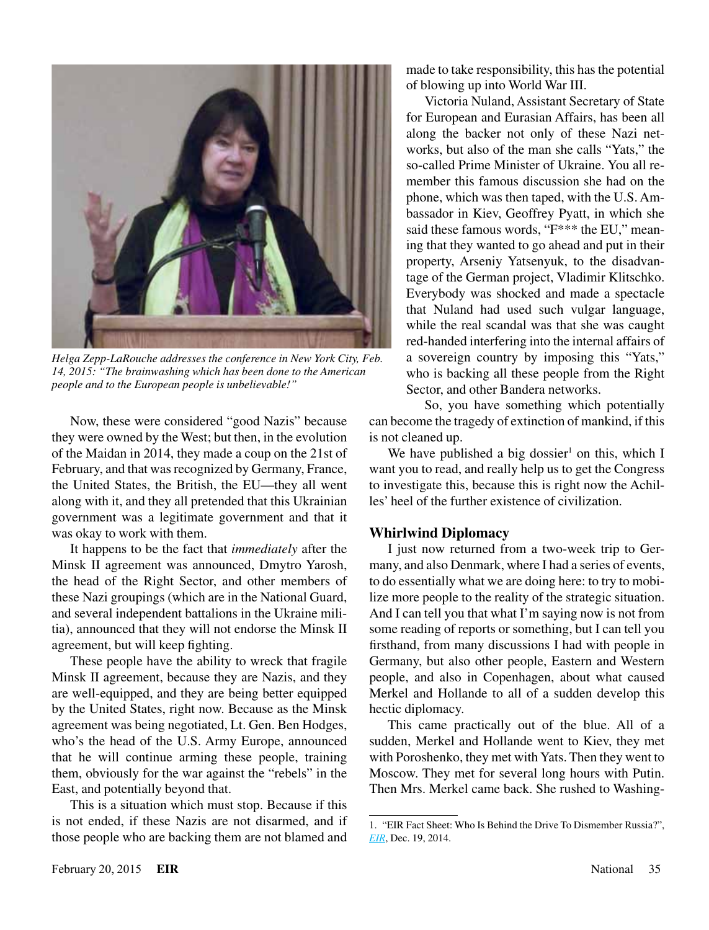

*Helga Zepp-LaRouche addresses the conference in New York City, Feb. 14, 2015: "The brainwashing which has been done to the American people and to the European people is unbelievable!"*

Now, these were considered "good Nazis" because they were owned by the West; but then, in the evolution of the Maidan in 2014, they made a coup on the 21st of February, and that was recognized by Germany, France, the United States, the British, the EU—they all went along with it, and they all pretended that this Ukrainian government was a legitimate government and that it was okay to work with them.

It happens to be the fact that *immediately* after the Minsk II agreement was announced, Dmytro Yarosh, the head of the Right Sector, and other members of these Nazi groupings (which are in the National Guard, and several independent battalions in the Ukraine militia), announced that they will not endorse the Minsk II agreement, but will keep fighting.

These people have the ability to wreck that fragile Minsk II agreement, because they are Nazis, and they are well-equipped, and they are being better equipped by the United States, right now. Because as the Minsk agreement was being negotiated, Lt. Gen. Ben Hodges, who's the head of the U.S. Army Europe, announced that he will continue arming these people, training them, obviously for the war against the "rebels" in the East, and potentially beyond that.

This is a situation which must stop. Because if this is not ended, if these Nazis are not disarmed, and if those people who are backing them are not blamed and made to take responsibility, this has the potential of blowing up into World War III.

Victoria Nuland, Assistant Secretary of State for European and Eurasian Affairs, has been all along the backer not only of these Nazi networks, but also of the man she calls "Yats," the so-called Prime Minister of Ukraine. You all remember this famous discussion she had on the phone, which was then taped, with the U.S. Ambassador in Kiev, Geoffrey Pyatt, in which she said these famous words, "F\*\*\* the EU," meaning that they wanted to go ahead and put in their property, Arseniy Yatsenyuk, to the disadvantage of the German project, Vladimir Klitschko. Everybody was shocked and made a spectacle that Nuland had used such vulgar language, while the real scandal was that she was caught red-handed interfering into the internal affairs of a sovereign country by imposing this "Yats," who is backing all these people from the Right Sector, and other Bandera networks.

So, you have something which potentially can become the tragedy of extinction of mankind, if this is not cleaned up.

We have published a big dossier<sup>1</sup> on this, which I want you to read, and really help us to get the Congress to investigate this, because this is right now the Achilles' heel of the further existence of civilization.

# **Whirlwind Diplomacy**

I just now returned from a two-week trip to Germany, and also Denmark, where I had a series of events, to do essentially what we are doing here: to try to mobilize more people to the reality of the strategic situation. And I can tell you that what I'm saying now is not from some reading of reports or something, but I can tell you firsthand, from many discussions I had with people in Germany, but also other people, Eastern and Western people, and also in Copenhagen, about what caused Merkel and Hollande to all of a sudden develop this hectic diplomacy.

This came practically out of the blue. All of a sudden, Merkel and Hollande went to Kiev, they met with Poroshenko, they met with Yats. Then they went to Moscow. They met for several long hours with Putin. Then Mrs. Merkel came back. She rushed to Washing-

<sup>1.</sup> "EIR Fact Sheet: Who Is Behind the Drive To Dismember Russia?", *[EIR](http://larouchepub.com/eiw/public/2014/eirv41n50-20141219/24-31_4150.pdf)*, Dec. 19, 2014.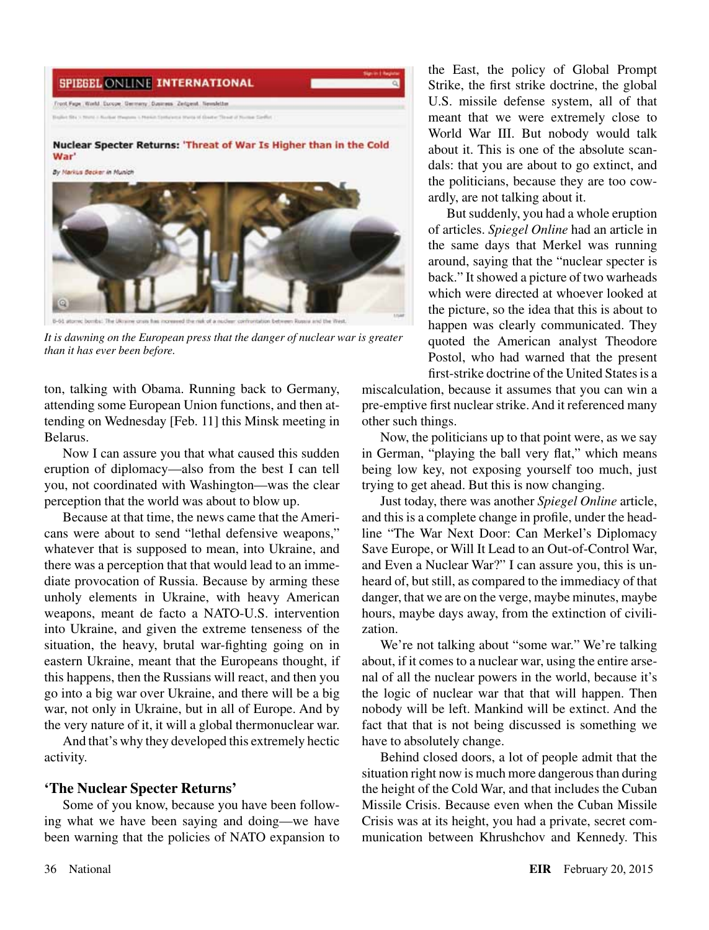# **SPIEGEL ONLINE INTERNATIONAL** Front Page, World, Europe, Germany, Dusiness, Zeitgest, Newsletter

Nuclear Specter Returns: 'Threat of War Is Higher than in the Cold War'





It is dawning on the European press that the danger of nuclear war is greater *than it has ever been before.*

ton, talking with Obama. Running back to Germany, attending some European Union functions, and then attending on Wednesday [Feb. 11] this Minsk meeting in Belarus.

Now I can assure you that what caused this sudden eruption of diplomacy—also from the best I can tell you, not coordinated with Washington—was the clear perception that the world was about to blow up.

Because at that time, the news came that the Americans were about to send "lethal defensive weapons," whatever that is supposed to mean, into Ukraine, and there was a perception that that would lead to an immediate provocation of Russia. Because by arming these unholy elements in Ukraine, with heavy American weapons, meant de facto a NATO-U.S. intervention into Ukraine, and given the extreme tenseness of the situation, the heavy, brutal war-fighting going on in eastern Ukraine, meant that the Europeans thought, if this happens, then the Russians will react, and then you go into a big war over Ukraine, and there will be a big war, not only in Ukraine, but in all of Europe. And by the very nature of it, it will a global thermonuclear war.

And that's why they developed this extremely hectic activity.

# **'The Nuclear Specter Returns'**

Some of you know, because you have been following what we have been saying and doing—we have been warning that the policies of NATO expansion to the East, the policy of Global Prompt Strike, the first strike doctrine, the global U.S. missile defense system, all of that meant that we were extremely close to World War III. But nobody would talk about it. This is one of the absolute scandals: that you are about to go extinct, and the politicians, because they are too cowardly, are not talking about it.

But suddenly, you had a whole eruption of articles. *Spiegel Online* had an article in the same days that Merkel was running around, saying that the "nuclear specter is back." It showed a picture of two warheads which were directed at whoever looked at the picture, so the idea that this is about to happen was clearly communicated. They quoted the American analyst Theodore Postol, who had warned that the present first-strike doctrine of the United States is a

miscalculation, because it assumes that you can win a pre-emptive first nuclear strike. And it referenced many other such things.

Now, the politicians up to that point were, as we say in German, "playing the ball very flat," which means being low key, not exposing yourself too much, just trying to get ahead. But this is now changing.

Just today, there was another *Spiegel Online* article, and this is a complete change in profile, under the headline "The War Next Door: Can Merkel's Diplomacy Save Europe, or Will It Lead to an Out-of-Control War, and Even a Nuclear War?" I can assure you, this is unheard of, but still, as compared to the immediacy of that danger, that we are on the verge, maybe minutes, maybe hours, maybe days away, from the extinction of civilization.

We're not talking about "some war." We're talking about, if it comes to a nuclear war, using the entire arsenal of all the nuclear powers in the world, because it's the logic of nuclear war that that will happen. Then nobody will be left. Mankind will be extinct. And the fact that that is not being discussed is something we have to absolutely change.

Behind closed doors, a lot of people admit that the situation right now is much more dangerous than during the height of the Cold War, and that includes the Cuban Missile Crisis. Because even when the Cuban Missile Crisis was at its height, you had a private, secret communication between Khrushchov and Kennedy. This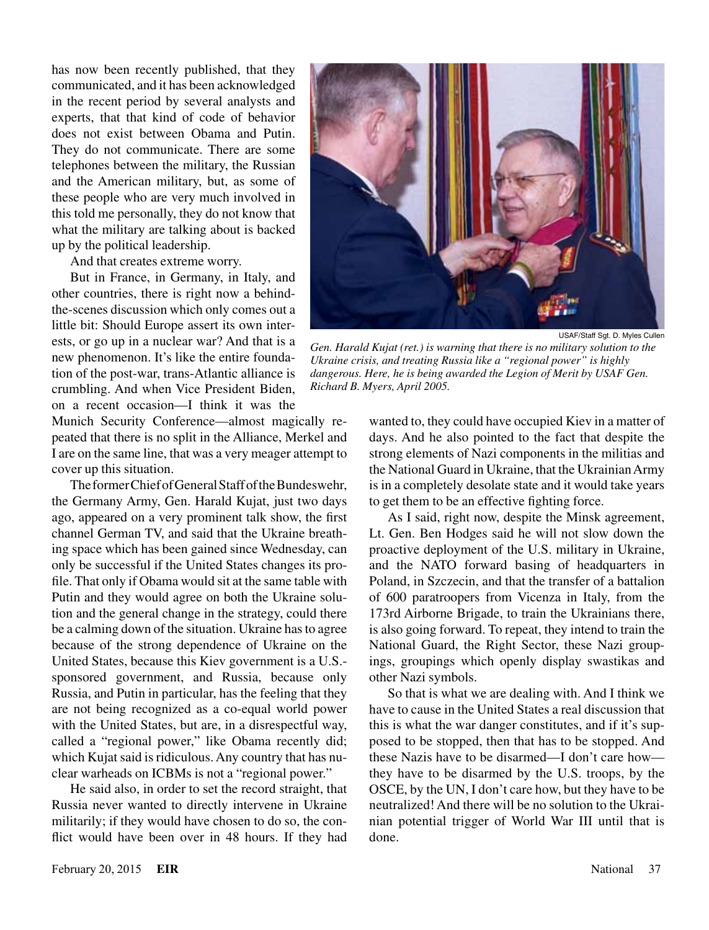has now been recently published, that they communicated, and it has been acknowledged in the recent period by several analysts and experts, that that kind of code of behavior does not exist between Obama and Putin. They do not communicate. There are some telephones between the military, the Russian and the American military, but, as some of these people who are very much involved in this told me personally, they do not know that what the military are talking about is backed up by the political leadership.

And that creates extreme worry.

But in France, in Germany, in Italy, and other countries, there is right now a behindthe-scenes discussion which only comes out a little bit: Should Europe assert its own interests, or go up in a nuclear war? And that is a new phenomenon. It's like the entire foundation of the post-war, trans-Atlantic alliance is crumbling. And when Vice President Biden, on a recent occasion—I think it was the

Munich Security Conference—almost magically repeated that there is no split in the Alliance, Merkel and I are on the same line, that was a very meager attempt to cover up this situation.

The former Chief of General Staff of the Bundeswehr, the Germany Army, Gen. Harald Kujat, just two days ago, appeared on a very prominent talk show, the first channel German TV, and said that the Ukraine breathing space which has been gained since Wednesday, can only be successful if the United States changes its profile. That only if Obama would sit at the same table with Putin and they would agree on both the Ukraine solution and the general change in the strategy, could there be a calming down of the situation. Ukraine has to agree because of the strong dependence of Ukraine on the United States, because this Kiev government is a U.S. sponsored government, and Russia, because only Russia, and Putin in particular, has the feeling that they are not being recognized as a co-equal world power with the United States, but are, in a disrespectful way, called a "regional power," like Obama recently did; which Kujat said is ridiculous. Any country that has nuclear warheads on ICBMs is not a "regional power."

He said also, in order to set the record straight, that Russia never wanted to directly intervene in Ukraine militarily; if they would have chosen to do so, the conflict would have been over in 48 hours. If they had



USAF/Staff Sgt. D. Myles Cullen

*Gen. Harald Kujat (ret.) is warning that there is no military solution to the Ukraine crisis, and treating Russia like a "regional power" is highly dangerous. Here, he is being awarded the Legion of Merit by USAF Gen. Richard B. Myers, April 2005.*

wanted to, they could have occupied Kiev in a matter of days. And he also pointed to the fact that despite the strong elements of Nazi components in the militias and the National Guard in Ukraine, that the Ukrainian Army is in a completely desolate state and it would take years to get them to be an effective fighting force.

As I said, right now, despite the Minsk agreement, Lt. Gen. Ben Hodges said he will not slow down the proactive deployment of the U.S. military in Ukraine, and the NATO forward basing of headquarters in Poland, in Szczecin, and that the transfer of a battalion of 600 paratroopers from Vicenza in Italy, from the 173rd Airborne Brigade, to train the Ukrainians there, is also going forward. To repeat, they intend to train the National Guard, the Right Sector, these Nazi groupings, groupings which openly display swastikas and other Nazi symbols.

So that is what we are dealing with. And I think we have to cause in the United States a real discussion that this is what the war danger constitutes, and if it's supposed to be stopped, then that has to be stopped. And these Nazis have to be disarmed—I don't care how they have to be disarmed by the U.S. troops, by the OSCE, by the UN, I don't care how, but they have to be neutralized! And there will be no solution to the Ukrainian potential trigger of World War III until that is done.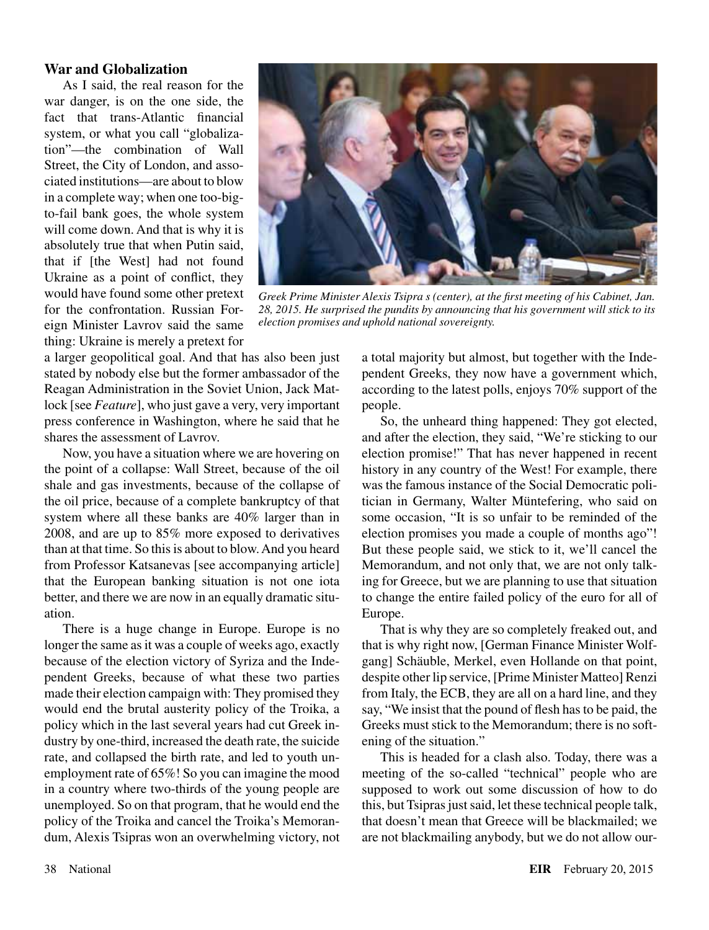#### **War and Globalization**

As I said, the real reason for the war danger, is on the one side, the fact that trans-Atlantic financial system, or what you call "globalization"—the combination of Wall Street, the City of London, and associated institutions—are about to blow in a complete way; when one too-bigto-fail bank goes, the whole system will come down. And that is why it is absolutely true that when Putin said, that if [the West] had not found Ukraine as a point of conflict, they would have found some other pretext for the confrontation. Russian Foreign Minister Lavrov said the same thing: Ukraine is merely a pretext for



*Greek Prime Minister Alexis Tsipra s (center), at the first meeting of his Cabinet, Jan. 28, 2015. He surprised the pundits by announcing that his government will stick to its election promises and uphold national sovereignty.*

a larger geopolitical goal. And that has also been just stated by nobody else but the former ambassador of the Reagan Administration in the Soviet Union, Jack Matlock [see *Feature*], who just gave a very, very important press conference in Washington, where he said that he shares the assessment of Lavrov.

Now, you have a situation where we are hovering on the point of a collapse: Wall Street, because of the oil shale and gas investments, because of the collapse of the oil price, because of a complete bankruptcy of that system where all these banks are 40% larger than in 2008, and are up to 85% more exposed to derivatives than at that time. So this is about to blow. And you heard from Professor Katsanevas [see accompanying article] that the European banking situation is not one iota better, and there we are now in an equally dramatic situation.

There is a huge change in Europe. Europe is no longer the same as it was a couple of weeks ago, exactly because of the election victory of Syriza and the Independent Greeks, because of what these two parties made their election campaign with: They promised they would end the brutal austerity policy of the Troika, a policy which in the last several years had cut Greek industry by one-third, increased the death rate, the suicide rate, and collapsed the birth rate, and led to youth unemployment rate of 65%! So you can imagine the mood in a country where two-thirds of the young people are unemployed. So on that program, that he would end the policy of the Troika and cancel the Troika's Memorandum, Alexis Tsipras won an overwhelming victory, not a total majority but almost, but together with the Independent Greeks, they now have a government which, according to the latest polls, enjoys 70% support of the people.

So, the unheard thing happened: They got elected, and after the election, they said, "We're sticking to our election promise!" That has never happened in recent history in any country of the West! For example, there was the famous instance of the Social Democratic politician in Germany, Walter Müntefering, who said on some occasion, "It is so unfair to be reminded of the election promises you made a couple of months ago"! But these people said, we stick to it, we'll cancel the Memorandum, and not only that, we are not only talking for Greece, but we are planning to use that situation to change the entire failed policy of the euro for all of Europe.

That is why they are so completely freaked out, and that is why right now, [German Finance Minister Wolfgang] Schäuble, Merkel, even Hollande on that point, despite other lip service, [Prime Minister Matteo] Renzi from Italy, the ECB, they are all on a hard line, and they say, "We insist that the pound of flesh has to be paid, the Greeks must stick to the Memorandum; there is no softening of the situation."

This is headed for a clash also. Today, there was a meeting of the so-called "technical" people who are supposed to work out some discussion of how to do this, but Tsipras just said, let these technical people talk, that doesn't mean that Greece will be blackmailed; we are not blackmailing anybody, but we do not allow our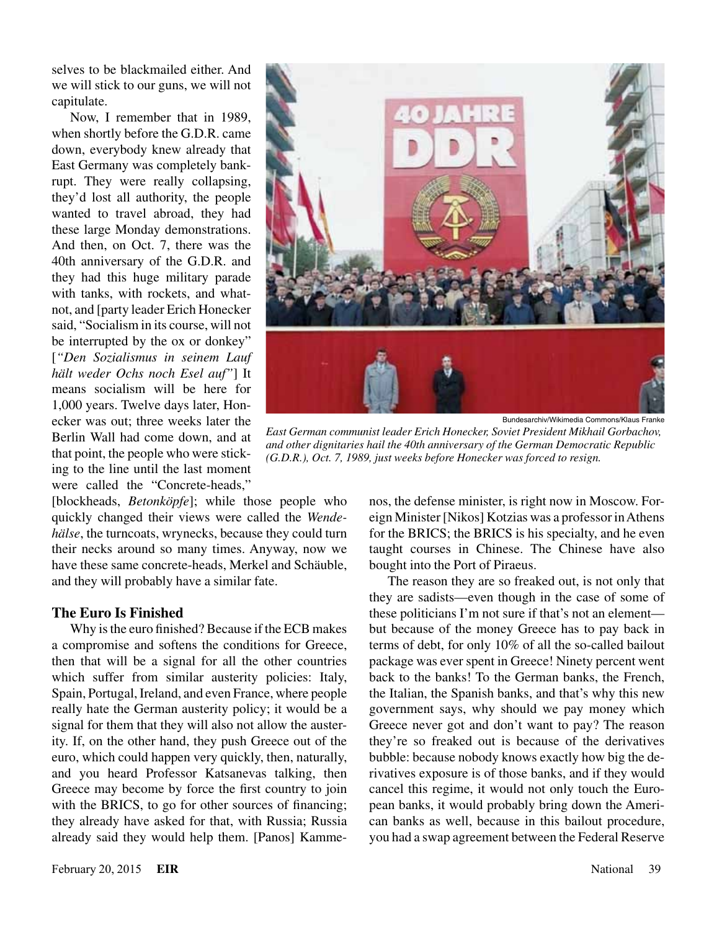selves to be blackmailed either. And we will stick to our guns, we will not capitulate.

Now, I remember that in 1989, when shortly before the G.D.R. came down, everybody knew already that East Germany was completely bankrupt. They were really collapsing, they'd lost all authority, the people wanted to travel abroad, they had these large Monday demonstrations. And then, on Oct. 7, there was the 40th anniversary of the G.D.R. and they had this huge military parade with tanks, with rockets, and whatnot, and [party leader Erich Honecker said, "Socialism in its course, will not be interrupted by the ox or donkey" [*"Den Sozialismus in seinem Lauf hält weder Ochs noch Esel auf"*] It means socialism will be here for 1,000 years. Twelve days later, Honecker was out; three weeks later the Berlin Wall had come down, and at that point, the people who were sticking to the line until the last moment were called the "Concrete-heads,"

Bundesarchiv/Wikimedia Commons/Klaus Franke

*East German communist leader Erich Honecker, Soviet President Mikhail Gorbachov, and other dignitaries hail the 40th anniversary of the German Democratic Republic (G.D.R.), Oct. 7, 1989, just weeks before Honecker was forced to resign.*

[blockheads, *Betonköpfe*]; while those people who quickly changed their views were called the *Wendehälse*, the turncoats, wrynecks, because they could turn their necks around so many times. Anyway, now we have these same concrete-heads, Merkel and Schäuble, and they will probably have a similar fate.

#### **The Euro Is Finished**

Why is the euro finished? Because if the ECB makes a compromise and softens the conditions for Greece, then that will be a signal for all the other countries which suffer from similar austerity policies: Italy, Spain, Portugal, Ireland, and even France, where people really hate the German austerity policy; it would be a signal for them that they will also not allow the austerity. If, on the other hand, they push Greece out of the euro, which could happen very quickly, then, naturally, and you heard Professor Katsanevas talking, then Greece may become by force the first country to join with the BRICS, to go for other sources of financing; they already have asked for that, with Russia; Russia already said they would help them. [Panos] Kammenos, the defense minister, is right now in Moscow. Foreign Minister [Nikos] Kotzias was a professor in Athens for the BRICS; the BRICS is his specialty, and he even taught courses in Chinese. The Chinese have also bought into the Port of Piraeus.

The reason they are so freaked out, is not only that they are sadists—even though in the case of some of these politicians I'm not sure if that's not an element but because of the money Greece has to pay back in terms of debt, for only 10% of all the so-called bailout package was ever spent in Greece! Ninety percent went back to the banks! To the German banks, the French, the Italian, the Spanish banks, and that's why this new government says, why should we pay money which Greece never got and don't want to pay? The reason they're so freaked out is because of the derivatives bubble: because nobody knows exactly how big the derivatives exposure is of those banks, and if they would cancel this regime, it would not only touch the European banks, it would probably bring down the American banks as well, because in this bailout procedure, you had a swap agreement between the Federal Reserve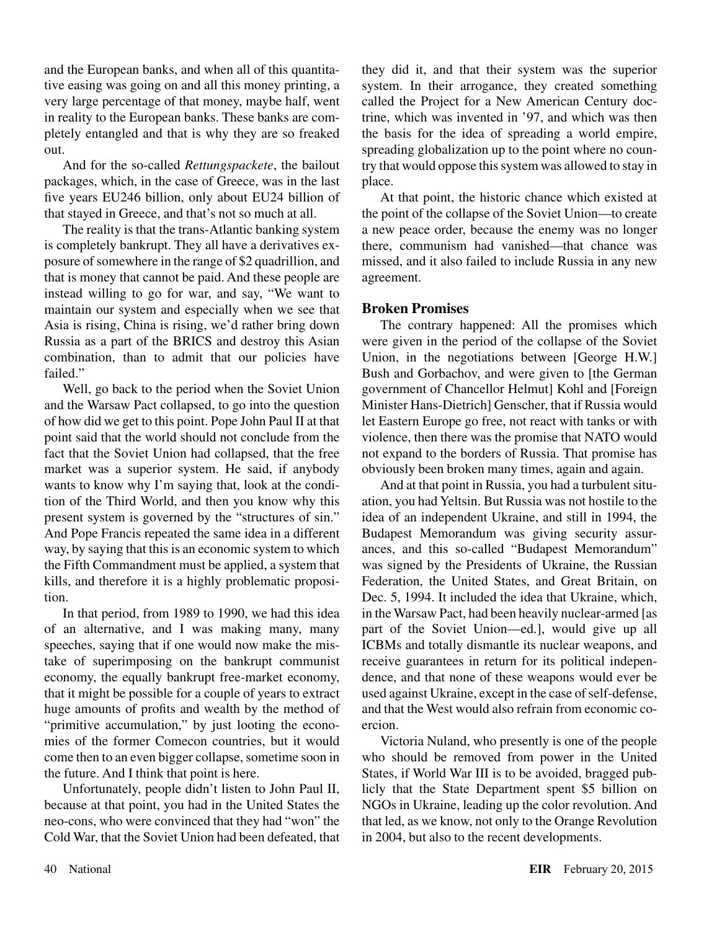and the European banks, and when all of this quantitative easing was going on and all this money printing, a very large percentage of that money, maybe half, went in reality to the European banks. These banks are completely entangled and that is why they are so freaked out.

And for the so-called *Rettungspackete*, the bailout packages, which, in the case of Greece, was in the last five years EU246 billion, only about EU24 billion of that stayed in Greece, and that's not so much at all.

The reality is that the trans-Atlantic banking system is completely bankrupt. They all have a derivatives exposure of somewhere in the range of \$2 quadrillion, and that is money that cannot be paid. And these people are instead willing to go for war, and say, "We want to maintain our system and especially when we see that Asia is rising, China is rising, we'd rather bring down Russia as a part of the BRICS and destroy this Asian combination, than to admit that our policies have failed."

Well, go back to the period when the Soviet Union and the Warsaw Pact collapsed, to go into the question of how did we get to this point. Pope John Paul II at that point said that the world should not conclude from the fact that the Soviet Union had collapsed, that the free market was a superior system. He said, if anybody wants to know why I'm saying that, look at the condition of the Third World, and then you know why this present system is governed by the "structures of sin." And Pope Francis repeated the same idea in a different way, by saying that this is an economic system to which the Fifth Commandment must be applied, a system that kills, and therefore it is a highly problematic proposition.

In that period, from 1989 to 1990, we had this idea of an alternative, and I was making many, many speeches, saying that if one would now make the mistake of superimposing on the bankrupt communist economy, the equally bankrupt free-market economy, that it might be possible for a couple of years to extract huge amounts of profits and wealth by the method of "primitive accumulation," by just looting the economies of the former Comecon countries, but it would come then to an even bigger collapse, sometime soon in the future. And I think that point is here.

Unfortunately, people didn't listen to John Paul II, because at that point, you had in the United States the neo-cons, who were convinced that they had "won" the Cold War, that the Soviet Union had been defeated, that they did it, and that their system was the superior system. In their arrogance, they created something called the Project for a New American Century doctrine, which was invented in '97, and which was then the basis for the idea of spreading a world empire, spreading globalization up to the point where no country that would oppose this system was allowed to stay in place.

At that point, the historic chance which existed at the point of the collapse of the Soviet Union—to create a new peace order, because the enemy was no longer there, communism had vanished—that chance was missed, and it also failed to include Russia in any new agreement.

# **Broken Promises**

The contrary happened: All the promises which were given in the period of the collapse of the Soviet Union, in the negotiations between [George H.W.] Bush and Gorbachov, and were given to [the German government of Chancellor Helmut] Kohl and [Foreign Minister Hans-Dietrich] Genscher, that if Russia would let Eastern Europe go free, not react with tanks or with violence, then there was the promise that NATO would not expand to the borders of Russia. That promise has obviously been broken many times, again and again.

And at that point in Russia, you had a turbulent situation, you had Yeltsin. But Russia was not hostile to the idea of an independent Ukraine, and still in 1994, the Budapest Memorandum was giving security assurances, and this so-called "Budapest Memorandum" was signed by the Presidents of Ukraine, the Russian Federation, the United States, and Great Britain, on Dec. 5, 1994. It included the idea that Ukraine, which, in the Warsaw Pact, had been heavily nuclear-armed [as part of the Soviet Union—ed.], would give up all ICBMs and totally dismantle its nuclear weapons, and receive guarantees in return for its political independence, and that none of these weapons would ever be used against Ukraine, except in the case of self-defense, and that the West would also refrain from economic coercion.

Victoria Nuland, who presently is one of the people who should be removed from power in the United States, if World War III is to be avoided, bragged publicly that the State Department spent \$5 billion on NGOs in Ukraine, leading up the color revolution. And that led, as we know, not only to the Orange Revolution in 2004, but also to the recent developments.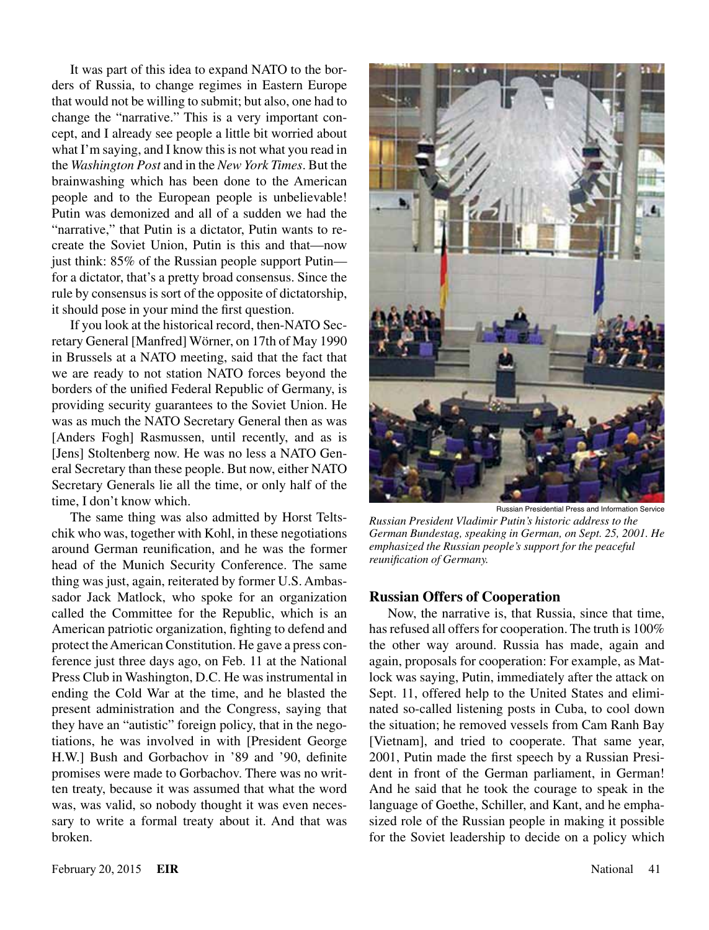It was part of this idea to expand NATO to the borders of Russia, to change regimes in Eastern Europe that would not be willing to submit; but also, one had to change the "narrative." This is a very important concept, and I already see people a little bit worried about what I'm saying, and I know this is not what you read in the *Washington Post* and in the *New York Times*. But the brainwashing which has been done to the American people and to the European people is unbelievable! Putin was demonized and all of a sudden we had the "narrative," that Putin is a dictator, Putin wants to recreate the Soviet Union, Putin is this and that—now just think: 85% of the Russian people support Putin for a dictator, that's a pretty broad consensus. Since the rule by consensus is sort of the opposite of dictatorship, it should pose in your mind the first question.

If you look at the historical record, then-NATO Secretary General [Manfred] Wörner, on 17th of May 1990 in Brussels at a NATO meeting, said that the fact that we are ready to not station NATO forces beyond the borders of the unified Federal Republic of Germany, is providing security guarantees to the Soviet Union. He was as much the NATO Secretary General then as was [Anders Fogh] Rasmussen, until recently, and as is [Jens] Stoltenberg now. He was no less a NATO General Secretary than these people. But now, either NATO Secretary Generals lie all the time, or only half of the time, I don't know which.

The same thing was also admitted by Horst Teltschik who was, together with Kohl, in these negotiations around German reunification, and he was the former head of the Munich Security Conference. The same thing was just, again, reiterated by former U.S. Ambassador Jack Matlock, who spoke for an organization called the Committee for the Republic, which is an American patriotic organization, fighting to defend and protect the American Constitution. He gave a press conference just three days ago, on Feb. 11 at the National Press Club in Washington, D.C. He was instrumental in ending the Cold War at the time, and he blasted the present administration and the Congress, saying that they have an "autistic" foreign policy, that in the negotiations, he was involved in with [President George H.W.] Bush and Gorbachov in '89 and '90, definite promises were made to Gorbachov. There was no written treaty, because it was assumed that what the word was, was valid, so nobody thought it was even necessary to write a formal treaty about it. And that was broken.



Russian Presidential Press and Information Service *Russian President Vladimir Putin's historic address to the German Bundestag, speaking in German, on Sept. 25, 2001. He* 

*emphasized the Russian people's support for the peaceful* 

#### **Russian Offers of Cooperation**

*reunification of Germany.*

Now, the narrative is, that Russia, since that time, has refused all offers for cooperation. The truth is 100% the other way around. Russia has made, again and again, proposals for cooperation: For example, as Matlock was saying, Putin, immediately after the attack on Sept. 11, offered help to the United States and eliminated so-called listening posts in Cuba, to cool down the situation; he removed vessels from Cam Ranh Bay [Vietnam], and tried to cooperate. That same year, 2001, Putin made the first speech by a Russian President in front of the German parliament, in German! And he said that he took the courage to speak in the language of Goethe, Schiller, and Kant, and he emphasized role of the Russian people in making it possible for the Soviet leadership to decide on a policy which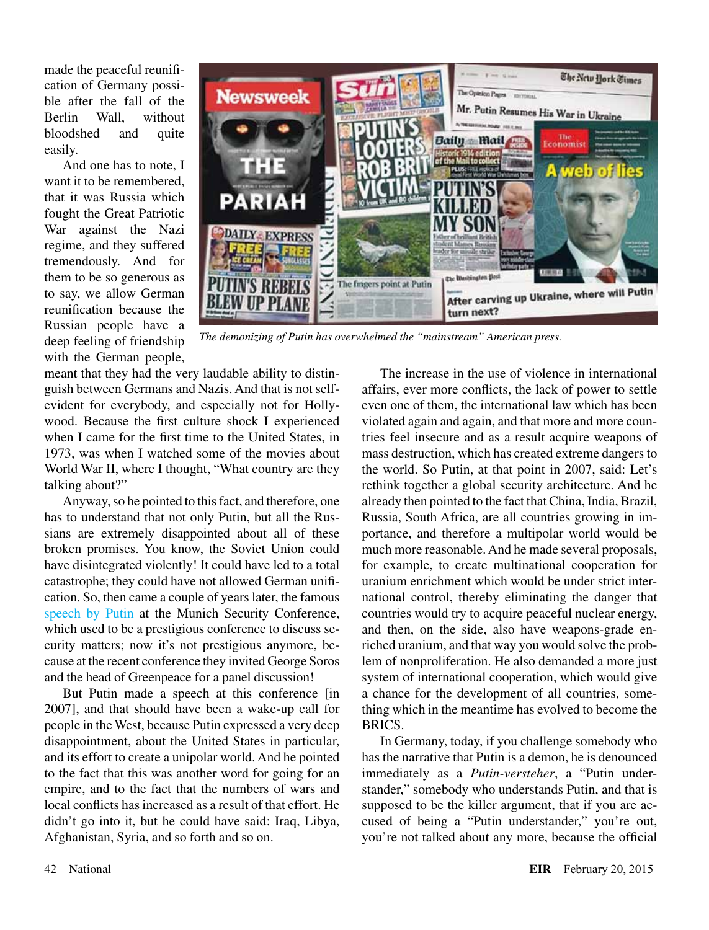made the peaceful reunification of Germany possible after the fall of the Berlin Wall, without bloodshed and quite easily.

And one has to note, I want it to be remembered that it was Russia which fought the Great Patriotic War against the Nazi regime, and they suffered tremendously. And for them to be so generous as to say, we allow German reunification because the Russian people have a deep feeling of friendship with the German people,



*The demonizing of Putin has overwhelmed the "mainstream" American press.*

meant that they had the very laudable ability to distinguish between Germans and Nazis. And that is not selfevident for everybody, and especially not for Hollywood. Because the first culture shock I experienced when I came for the first time to the United States, in 1973, was when I watched some of the movies about World War II, where I thought, "What country are they talking about?"

Anyway, so he pointed to this fact, and therefore, one has to understand that not only Putin, but all the Russians are extremely disappointed about all of these broken promises. You know, the Soviet Union could have disintegrated violently! It could have led to a total catastrophe; they could have not allowed German unification. So, then came a couple of years later, the famous [speech by Putin](http://archive.kremlin.ru/eng/speeches/2007/02/10/0138_type82912type82914type82917type84779_118123.shtml) at the Munich Security Conference, which used to be a prestigious conference to discuss security matters; now it's not prestigious anymore, because at the recent conference they invited George Soros and the head of Greenpeace for a panel discussion!

But Putin made a speech at this conference [in 2007], and that should have been a wake-up call for people in the West, because Putin expressed a very deep disappointment, about the United States in particular, and its effort to create a unipolar world. And he pointed to the fact that this was another word for going for an empire, and to the fact that the numbers of wars and local conflicts has increased as a result of that effort. He didn't go into it, but he could have said: Iraq, Libya, Afghanistan, Syria, and so forth and so on.

The increase in the use of violence in international affairs, ever more conflicts, the lack of power to settle even one of them, the international law which has been violated again and again, and that more and more countries feel insecure and as a result acquire weapons of mass destruction, which has created extreme dangers to the world. So Putin, at that point in 2007, said: Let's rethink together a global security architecture. And he already then pointed to the fact that China, India, Brazil, Russia, South Africa, are all countries growing in importance, and therefore a multipolar world would be much more reasonable. And he made several proposals, for example, to create multinational cooperation for uranium enrichment which would be under strict international control, thereby eliminating the danger that countries would try to acquire peaceful nuclear energy, and then, on the side, also have weapons-grade enriched uranium, and that way you would solve the problem of nonproliferation. He also demanded a more just system of international cooperation, which would give a chance for the development of all countries, something which in the meantime has evolved to become the BRICS.

In Germany, today, if you challenge somebody who has the narrative that Putin is a demon, he is denounced immediately as a *Putin-versteher*, a "Putin understander," somebody who understands Putin, and that is supposed to be the killer argument, that if you are accused of being a "Putin understander," you're out, you're not talked about any more, because the official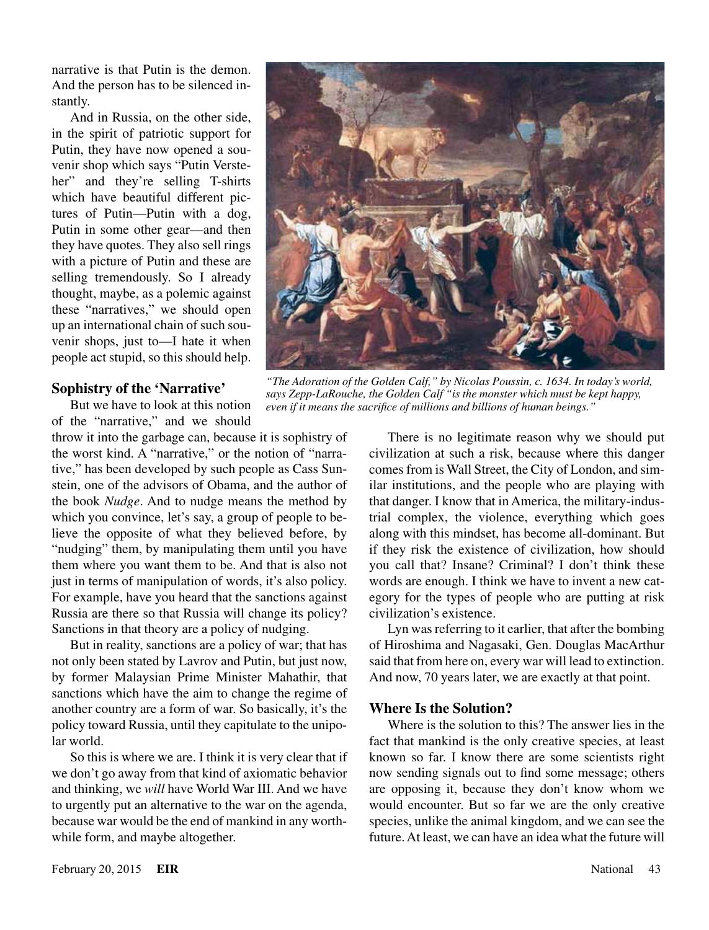narrative is that Putin is the demon. And the person has to be silenced instantly.

And in Russia, on the other side, in the spirit of patriotic support for Putin, they have now opened a souvenir shop which says "Putin Versteher" and they're selling T-shirts which have beautiful different pictures of Putin—Putin with a dog, Putin in some other gear—and then they have quotes. They also sell rings with a picture of Putin and these are selling tremendously. So I already thought, maybe, as a polemic against these "narratives," we should open up an international chain of such souvenir shops, just to—I hate it when people act stupid, so this should help.

#### **Sophistry of the 'Narrative'**

But we have to look at this notion of the "narrative," and we should

throw it into the garbage can, because it is sophistry of the worst kind. A "narrative," or the notion of "narrative," has been developed by such people as Cass Sunstein, one of the advisors of Obama, and the author of the book *Nudge*. And to nudge means the method by which you convince, let's say, a group of people to believe the opposite of what they believed before, by "nudging" them, by manipulating them until you have them where you want them to be. And that is also not just in terms of manipulation of words, it's also policy. For example, have you heard that the sanctions against Russia are there so that Russia will change its policy? Sanctions in that theory are a policy of nudging.

But in reality, sanctions are a policy of war; that has not only been stated by Lavrov and Putin, but just now, by former Malaysian Prime Minister Mahathir, that sanctions which have the aim to change the regime of another country are a form of war. So basically, it's the policy toward Russia, until they capitulate to the unipolar world.

So this is where we are. I think it is very clear that if we don't go away from that kind of axiomatic behavior and thinking, we *will* have World War III. And we have to urgently put an alternative to the war on the agenda, because war would be the end of mankind in any worthwhile form, and maybe altogether.



*"The Adoration of the Golden Calf," by Nicolas Poussin, c. 1634. In today's world, says Zepp-LaRouche, the Golden Calf "is the monster which must be kept happy, even if it means the sacrifice of millions and billions of human beings."*

There is no legitimate reason why we should put civilization at such a risk, because where this danger comes from is Wall Street, the City of London, and similar institutions, and the people who are playing with that danger. I know that in America, the military-industrial complex, the violence, everything which goes along with this mindset, has become all-dominant. But if they risk the existence of civilization, how should you call that? Insane? Criminal? I don't think these words are enough. I think we have to invent a new category for the types of people who are putting at risk civilization's existence.

Lyn was referring to it earlier, that after the bombing of Hiroshima and Nagasaki, Gen. Douglas MacArthur said that from here on, every war will lead to extinction. And now, 70 years later, we are exactly at that point.

# **Where Is the Solution?**

Where is the solution to this? The answer lies in the fact that mankind is the only creative species, at least known so far. I know there are some scientists right now sending signals out to find some message; others are opposing it, because they don't know whom we would encounter. But so far we are the only creative species, unlike the animal kingdom, and we can see the future. At least, we can have an idea what the future will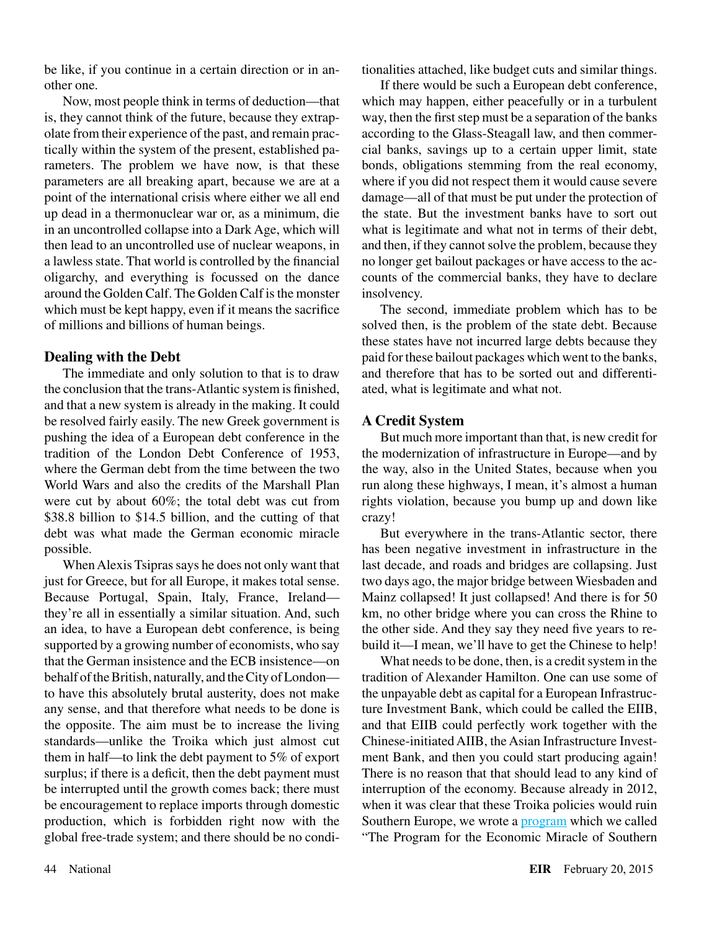be like, if you continue in a certain direction or in another one.

Now, most people think in terms of deduction—that is, they cannot think of the future, because they extrapolate from their experience of the past, and remain practically within the system of the present, established parameters. The problem we have now, is that these parameters are all breaking apart, because we are at a point of the international crisis where either we all end up dead in a thermonuclear war or, as a minimum, die in an uncontrolled collapse into a Dark Age, which will then lead to an uncontrolled use of nuclear weapons, in a lawless state. That world is controlled by the financial oligarchy, and everything is focussed on the dance around the Golden Calf. The Golden Calf is the monster which must be kept happy, even if it means the sacrifice of millions and billions of human beings.

# **Dealing with the Debt**

The immediate and only solution to that is to draw the conclusion that the trans-Atlantic system is finished, and that a new system is already in the making. It could be resolved fairly easily. The new Greek government is pushing the idea of a European debt conference in the tradition of the London Debt Conference of 1953, where the German debt from the time between the two World Wars and also the credits of the Marshall Plan were cut by about 60%; the total debt was cut from \$38.8 billion to \$14.5 billion, and the cutting of that debt was what made the German economic miracle possible.

When Alexis Tsipras says he does not only want that just for Greece, but for all Europe, it makes total sense. Because Portugal, Spain, Italy, France, Ireland they're all in essentially a similar situation. And, such an idea, to have a European debt conference, is being supported by a growing number of economists, who say that the German insistence and the ECB insistence—on behalf of the British, naturally, and the City of London to have this absolutely brutal austerity, does not make any sense, and that therefore what needs to be done is the opposite. The aim must be to increase the living standards—unlike the Troika which just almost cut them in half—to link the debt payment to 5% of export surplus; if there is a deficit, then the debt payment must be interrupted until the growth comes back; there must be encouragement to replace imports through domestic production, which is forbidden right now with the global free-trade system; and there should be no conditionalities attached, like budget cuts and similar things.

If there would be such a European debt conference, which may happen, either peacefully or in a turbulent way, then the first step must be a separation of the banks according to the Glass-Steagall law, and then commercial banks, savings up to a certain upper limit, state bonds, obligations stemming from the real economy, where if you did not respect them it would cause severe damage—all of that must be put under the protection of the state. But the investment banks have to sort out what is legitimate and what not in terms of their debt, and then, if they cannot solve the problem, because they no longer get bailout packages or have access to the accounts of the commercial banks, they have to declare insolvency.

The second, immediate problem which has to be solved then, is the problem of the state debt. Because these states have not incurred large debts because they paid for these bailout packages which went to the banks, and therefore that has to be sorted out and differentiated, what is legitimate and what not.

# **A Credit System**

But much more important than that, is new credit for the modernization of infrastructure in Europe—and by the way, also in the United States, because when you run along these highways, I mean, it's almost a human rights violation, because you bump up and down like crazy!

But everywhere in the trans-Atlantic sector, there has been negative investment in infrastructure in the last decade, and roads and bridges are collapsing. Just two days ago, the major bridge between Wiesbaden and Mainz collapsed! It just collapsed! And there is for 50 km, no other bridge where you can cross the Rhine to the other side. And they say they need five years to rebuild it—I mean, we'll have to get the Chinese to help!

What needs to be done, then, is a credit system in the tradition of Alexander Hamilton. One can use some of the unpayable debt as capital for a European Infrastructure Investment Bank, which could be called the EIIB, and that EIIB could perfectly work together with the Chinese-initiated AIIB, the Asian Infrastructure Investment Bank, and then you could start producing again! There is no reason that that should lead to any kind of interruption of the economy. Because already in 2012, when it was clear that these Troika policies would ruin Southern Europe, we wrote a **program** which we called "The Program for the Economic Miracle of Southern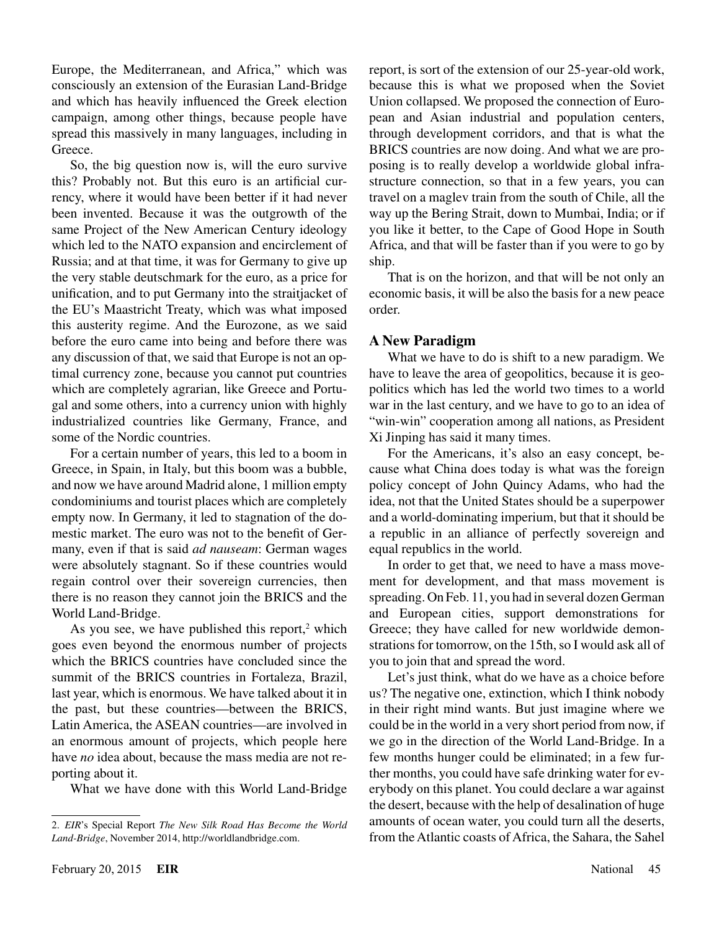Europe, the Mediterranean, and Africa," which was consciously an extension of the Eurasian Land-Bridge and which has heavily influenced the Greek election campaign, among other things, because people have spread this massively in many languages, including in Greece.

So, the big question now is, will the euro survive this? Probably not. But this euro is an artificial currency, where it would have been better if it had never been invented. Because it was the outgrowth of the same Project of the New American Century ideology which led to the NATO expansion and encirclement of Russia; and at that time, it was for Germany to give up the very stable deutschmark for the euro, as a price for unification, and to put Germany into the straitjacket of the EU's Maastricht Treaty, which was what imposed this austerity regime. And the Eurozone, as we said before the euro came into being and before there was any discussion of that, we said that Europe is not an optimal currency zone, because you cannot put countries which are completely agrarian, like Greece and Portugal and some others, into a currency union with highly industrialized countries like Germany, France, and some of the Nordic countries.

For a certain number of years, this led to a boom in Greece, in Spain, in Italy, but this boom was a bubble, and now we have around Madrid alone, 1 million empty condominiums and tourist places which are completely empty now. In Germany, it led to stagnation of the domestic market. The euro was not to the benefit of Germany, even if that is said *ad nauseam*: German wages were absolutely stagnant. So if these countries would regain control over their sovereign currencies, then there is no reason they cannot join the BRICS and the World Land-Bridge.

As you see, we have published this report, $2$  which goes even beyond the enormous number of projects which the BRICS countries have concluded since the summit of the BRICS countries in Fortaleza, Brazil, last year, which is enormous. We have talked about it in the past, but these countries—between the BRICS, Latin America, the ASEAN countries—are involved in an enormous amount of projects, which people here have *no* idea about, because the mass media are not reporting about it.

What we have done with this World Land-Bridge

report, is sort of the extension of our 25-year-old work, because this is what we proposed when the Soviet Union collapsed. We proposed the connection of European and Asian industrial and population centers, through development corridors, and that is what the BRICS countries are now doing. And what we are proposing is to really develop a worldwide global infrastructure connection, so that in a few years, you can travel on a maglev train from the south of Chile, all the way up the Bering Strait, down to Mumbai, India; or if you like it better, to the Cape of Good Hope in South Africa, and that will be faster than if you were to go by ship.

That is on the horizon, and that will be not only an economic basis, it will be also the basis for a new peace order.

# **A New Paradigm**

What we have to do is shift to a new paradigm. We have to leave the area of geopolitics, because it is geopolitics which has led the world two times to a world war in the last century, and we have to go to an idea of "win-win" cooperation among all nations, as President Xi Jinping has said it many times.

For the Americans, it's also an easy concept, because what China does today is what was the foreign policy concept of John Quincy Adams, who had the idea, not that the United States should be a superpower and a world-dominating imperium, but that it should be a republic in an alliance of perfectly sovereign and equal republics in the world.

In order to get that, we need to have a mass movement for development, and that mass movement is spreading. On Feb. 11, you had in several dozen German and European cities, support demonstrations for Greece; they have called for new worldwide demonstrations for tomorrow, on the 15th, so I would ask all of you to join that and spread the word.

Let's just think, what do we have as a choice before us? The negative one, extinction, which I think nobody in their right mind wants. But just imagine where we could be in the world in a very short period from now, if we go in the direction of the World Land-Bridge. In a few months hunger could be eliminated; in a few further months, you could have safe drinking water for everybody on this planet. You could declare a war against the desert, because with the help of desalination of huge amounts of ocean water, you could turn all the deserts, from the Atlantic coasts of Africa, the Sahara, the Sahel

<sup>2.</sup> *EIR*'s Special Report *The New Silk Road Has Become the World Land-Bridge*, November 2014, http://worldlandbridge.com.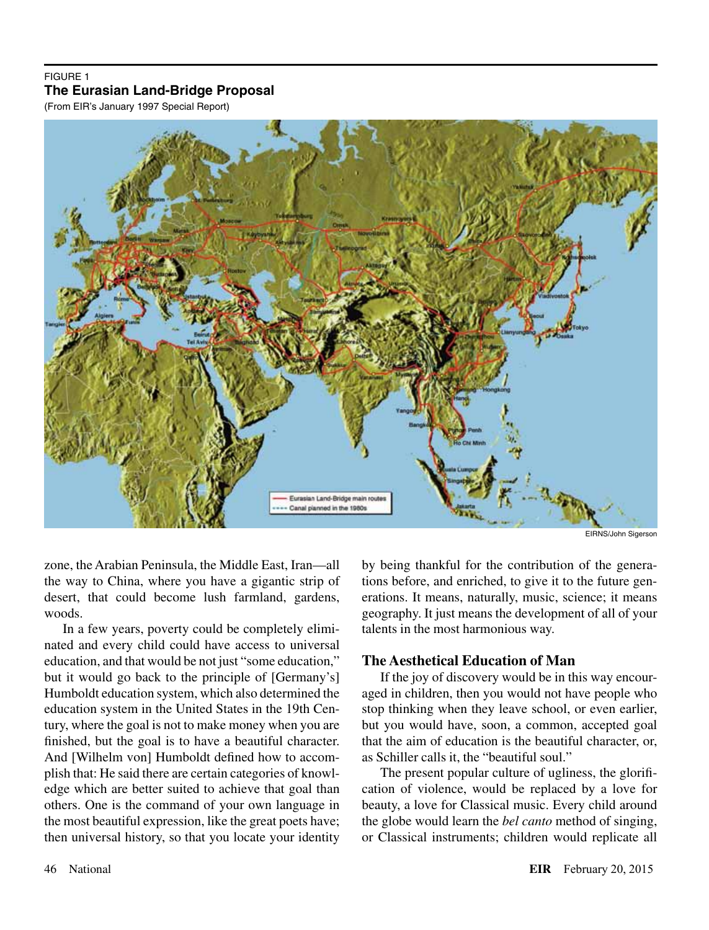# FIGURE 1 **The Eurasian Land-Bridge Proposal**

(From EIR's January 1997 Special Report)



EIRNS/John Sigerson

zone, the Arabian Peninsula, the Middle East, Iran—all the way to China, where you have a gigantic strip of desert, that could become lush farmland, gardens, woods.

In a few years, poverty could be completely eliminated and every child could have access to universal education, and that would be not just "some education," but it would go back to the principle of [Germany's] Humboldt education system, which also determined the education system in the United States in the 19th Century, where the goal is not to make money when you are finished, but the goal is to have a beautiful character. And [Wilhelm von] Humboldt defined how to accomplish that: He said there are certain categories of knowledge which are better suited to achieve that goal than others. One is the command of your own language in the most beautiful expression, like the great poets have; then universal history, so that you locate your identity

by being thankful for the contribution of the generations before, and enriched, to give it to the future generations. It means, naturally, music, science; it means geography. It just means the development of all of your talents in the most harmonious way.

# **The Aesthetical Education of Man**

If the joy of discovery would be in this way encouraged in children, then you would not have people who stop thinking when they leave school, or even earlier, but you would have, soon, a common, accepted goal that the aim of education is the beautiful character, or, as Schiller calls it, the "beautiful soul."

The present popular culture of ugliness, the glorification of violence, would be replaced by a love for beauty, a love for Classical music. Every child around the globe would learn the *bel canto* method of singing, or Classical instruments; children would replicate all